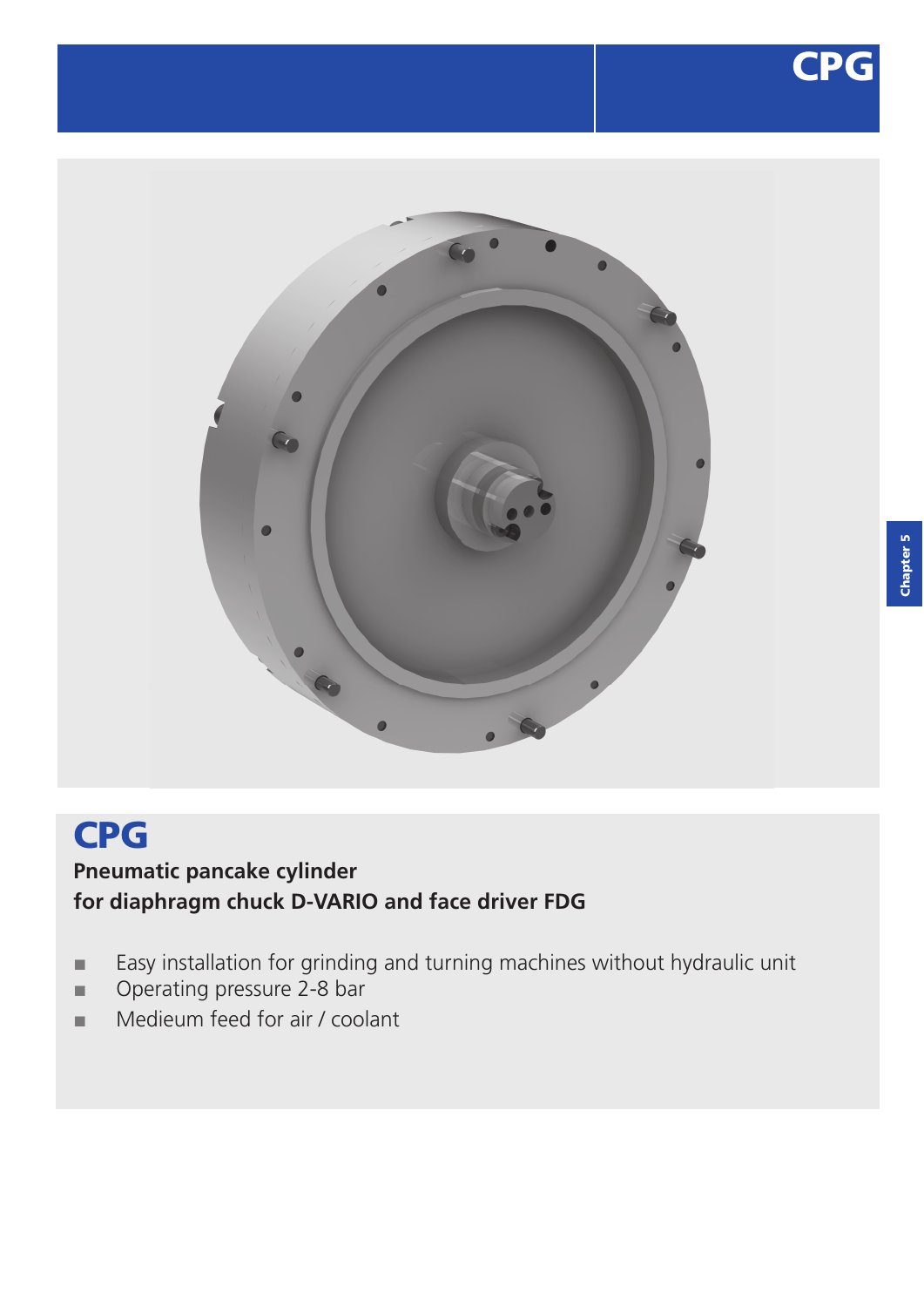



# CPG **Pneumatic pancake cylinder**

# **for diaphragm chuck D-VARIO and face driver FDG**

- **■** Easy installation for grinding and turning machines without hydraulic unit
- **■** Operating pressure 2-8 bar
- **■** Medieum feed for air / coolant